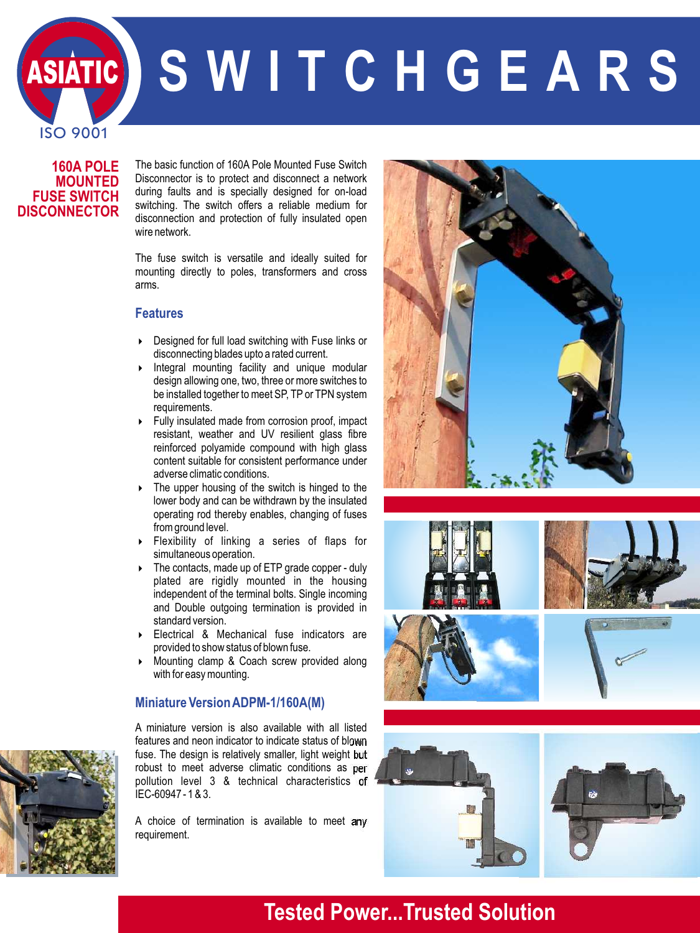**S W I T C H G E A R S**

#### **160A POLE MOUNTED FUSE SWITCH DISCONNECTOR**

ISO 9001

SIATIC

Disconnector is to protect and disconnect a network during faults and is specially designed for on-load switching. The switch offers a reliable medium for disconnection and protection of fully insulated open wire network. The basic function of 160A Pole Mounted Fuse Switch

The fuse switch is versatile and ideally suited for mounting directly to poles, transformers and cross arms.

#### **Features**

- $\triangleright$  Designed for full load switching with Fuse links or disconnecting blades upto a rated current.
- 4 Integral mounting facility and unique modular design allowing one, two, three or more switches to be installed together to meet SP, TP or TPN system requirements.
- 4 Fully insulated made from corrosion proof, impact resistant, weather and UV resilient glass fibre reinforced polyamide compound with high glass content suitable for consistent performance under adverse climatic conditions.
- ▶ The upper housing of the switch is hinged to the lower body and can be withdrawn by the insulated operating rod thereby enables, changing of fuses from ground level.
- 4 Flexibility of linking a series of flaps for simultaneous operation.
- 4 The contacts, made up of ETP grade copper duly plated are rigidly mounted in the housing independent of the terminal bolts. Single incoming and Double outgoing termination is provided in standard version.
- 4 Electrical & Mechanical fuse indicators are provided to show status of blown fuse.
- 4 Mounting clamp & Coach screw provided along with for easy mounting.

#### **Miniature Version ADPM-1/160A(M)**

A miniature version is also available with all listed features and neon indicator to indicate status of blown fuse. The design is relatively smaller, light weight but robust to meet adverse climatic conditions as per pollution level 3 & technical characteristics of IEC-60947 - 1 & 3.

A choice of termination is available to meet any requirement.







## **Tested Power...Trusted Solution**